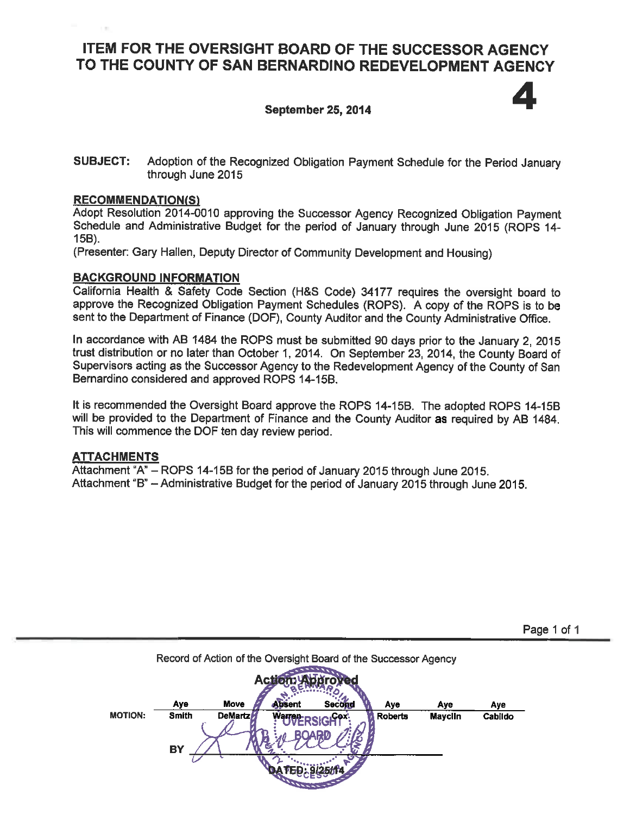# ITEM FOR THE OVERSIGHT BOARD OF THE SUCCESSOR AGENCY TO THE COUNTY OF SAN BERNARDINO REDEVELOPMENT AGENCY

### **September 25, 2014**



Page 1 of 1

#### **SUBJECT:** Adoption of the Recognized Obligation Payment Schedule for the Period January through June 2015

#### **RECOMMENDATION(S)**

Adopt Resolution 2014-0010 approving the Successor Agency Recognized Obligation Payment Schedule and Administrative Budget for the period of January through June 2015 (ROPS 14-15B).

(Presenter: Gary Hallen, Deputy Director of Community Development and Housing)

#### **BACKGROUND INFORMATION**

California Health & Safety Code Section (H&S Code) 34177 requires the oversight board to approve the Recognized Obligation Payment Schedules (ROPS). A copy of the ROPS is to be sent to the Department of Finance (DOF), County Auditor and the County Administrative Office.

In accordance with AB 1484 the ROPS must be submitted 90 days prior to the January 2, 2015 trust distribution or no later than October 1, 2014. On September 23, 2014, the County Board of Supervisors acting as the Successor Agency to the Redevelopment Agency of the County of San Bernardino considered and approved ROPS 14-15B.

It is recommended the Oversight Board approve the ROPS 14-15B. The adopted ROPS 14-15B will be provided to the Department of Finance and the County Auditor as required by AB 1484. This will commence the DOF ten day review period.

### **ATTACHMENTS**

Attachment "A" - ROPS 14-15B for the period of January 2015 through June 2015. Attachment "B" - Administrative Budget for the period of January 2015 through June 2015.

|                |                           |                 |                      | Record of Action of the Oversight Board of the Successor Agency |                |                |         |
|----------------|---------------------------|-----------------|----------------------|-----------------------------------------------------------------|----------------|----------------|---------|
|                |                           |                 |                      |                                                                 |                |                |         |
|                | Aye                       | Move            | Absent               | <b>Second</b>                                                   | Aye            | Aye            | Aye     |
| <b>MOTION:</b> | <b>Smith</b><br><b>BY</b> | <b>DeMartzM</b> | Warren <sub>D'</sub> | ം <b>Cox</b>                                                    | <b>Roberts</b> | <b>Mayclin</b> | Cabildo |
|                |                           |                 |                      |                                                                 |                |                |         |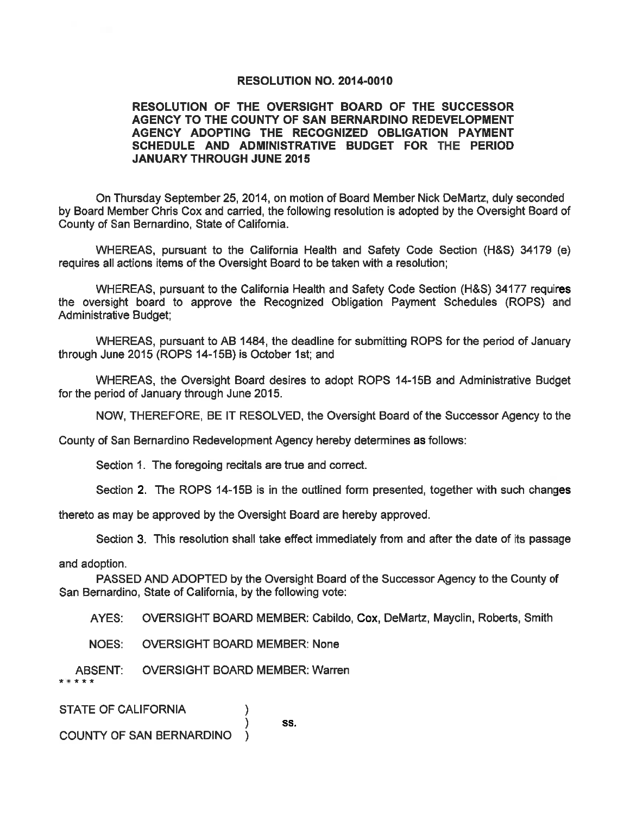#### RESOLUTION NO. 2014-0010

#### RESOLUTION OF THE OVERSIGHT BOARD OF THE SUCCESSOR AGENCY TO THE COUNTY OF SAN BERNARDINO REDEVELOPMENT AGENCY ADOPTING THE RECOGNIZED OBLIGATION PAYMENT SCHEDULE AND ADMINISTRATIVE BUDGET FOR THE PERIOD **JANUARY THROUGH JUNE 2015**

On Thursday September 25, 2014, on motion of Board Member Nick DeMartz, duly seconded by Board Member Chris Cox and carried, the following resolution is adopted by the Oversight Board of County of San Bernardino, State of California.

WHEREAS, pursuant to the California Health and Safety Code Section (H&S) 34179 (e) requires all actions items of the Oversight Board to be taken with a resolution;

WHEREAS, pursuant to the California Health and Safety Code Section (H&S) 34177 requires the oversight board to approve the Recognized Obligation Payment Schedules (ROPS) and **Administrative Budget:** 

WHEREAS, pursuant to AB 1484, the deadline for submitting ROPS for the period of January through June 2015 (ROPS 14-15B) is October 1st; and

WHEREAS, the Oversight Board desires to adopt ROPS 14-15B and Administrative Budget for the period of January through June 2015.

NOW, THEREFORE, BE IT RESOLVED, the Oversight Board of the Successor Agency to the

County of San Bernardino Redevelopment Agency hereby determines as follows:

Section 1. The foregoing recitals are true and correct.

Section 2. The ROPS 14-15B is in the outlined form presented, together with such changes

thereto as may be approved by the Oversight Board are hereby approved.

Section 3. This resolution shall take effect immediately from and after the date of its passage

and adoption.

PASSED AND ADOPTED by the Oversight Board of the Successor Agency to the County of San Bernardino, State of California, by the following vote:

SS.

AYES: OVERSIGHT BOARD MEMBER: Cabildo, Cox, DeMartz, Mayclin, Roberts, Smith

**NOES: OVERSIGHT BOARD MEMBER: None** 

**OVERSIGHT BOARD MEMBER: Warren** ABSENT:

**STATE OF CALIFORNIA** 

**COUNTY OF SAN BERNARDINO**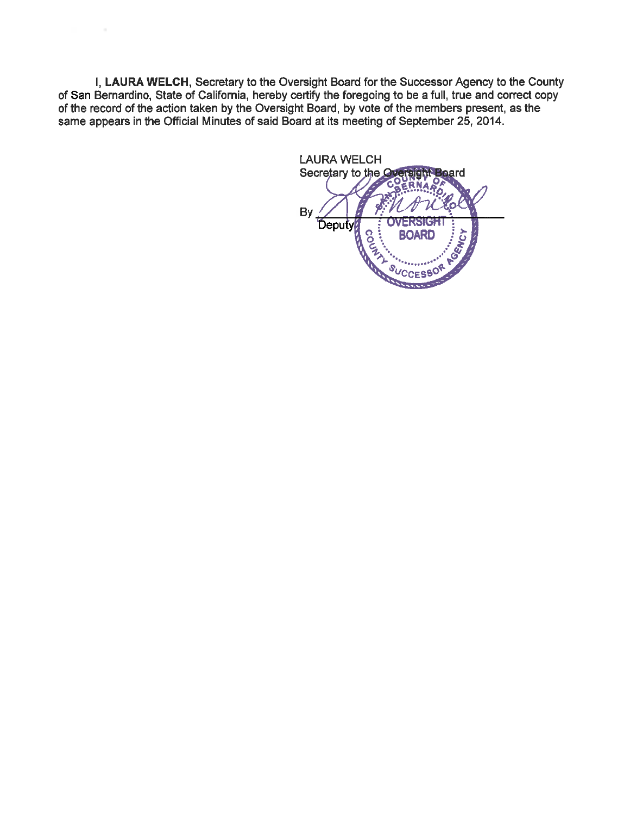I, LAURA WELCH, Secretary to the Oversight Board for the Successor Agency to the County of San Bernardino, State of California, hereby certify the foregoing to be a full, true and correct copy of the record of the action taken by the Oversight Board, by vote of the members present, as the same appears in the Official Minutes of said Board at its meeting of September 25, 2014.

**LAURA WELCH** Secretary to the Oversight Board Deputy<br>Beputy By **TOENCY** BOARD **CES<sup>S</sup>**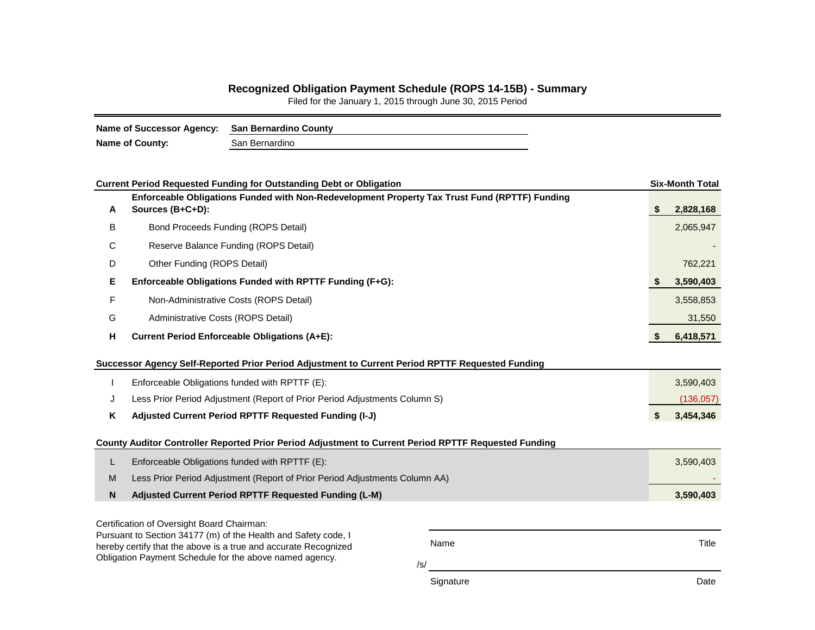## **Recognized Obligation Payment Schedule (ROPS 14-15B) - Summary**

Filed for the January 1, 2015 through June 30, 2015 Period

| Name of Successor Agency: San Bernardino County |                |  |
|-------------------------------------------------|----------------|--|
| <b>Name of County:</b>                          | San Bernardino |  |

|                                                                                                                            | <b>Current Period Requested Funding for Outstanding Debt or Obligation</b>                                        |           |    | <b>Six-Month Total</b> |  |  |  |  |  |
|----------------------------------------------------------------------------------------------------------------------------|-------------------------------------------------------------------------------------------------------------------|-----------|----|------------------------|--|--|--|--|--|
| A                                                                                                                          | Enforceable Obligations Funded with Non-Redevelopment Property Tax Trust Fund (RPTTF) Funding<br>Sources (B+C+D): |           | \$ | 2,828,168              |  |  |  |  |  |
| В                                                                                                                          | Bond Proceeds Funding (ROPS Detail)                                                                               |           |    | 2,065,947              |  |  |  |  |  |
| С                                                                                                                          | Reserve Balance Funding (ROPS Detail)                                                                             |           |    |                        |  |  |  |  |  |
| D                                                                                                                          | Other Funding (ROPS Detail)                                                                                       |           |    |                        |  |  |  |  |  |
| Е                                                                                                                          | Enforceable Obligations Funded with RPTTF Funding (F+G):                                                          |           | S  | 3,590,403              |  |  |  |  |  |
| F                                                                                                                          | Non-Administrative Costs (ROPS Detail)                                                                            |           |    | 3,558,853              |  |  |  |  |  |
| G                                                                                                                          | Administrative Costs (ROPS Detail)                                                                                |           |    | 31,550                 |  |  |  |  |  |
| н                                                                                                                          | <b>Current Period Enforceable Obligations (A+E):</b>                                                              |           | \$ | 6,418,571              |  |  |  |  |  |
|                                                                                                                            | Successor Agency Self-Reported Prior Period Adjustment to Current Period RPTTF Requested Funding                  |           |    |                        |  |  |  |  |  |
|                                                                                                                            | Enforceable Obligations funded with RPTTF (E):                                                                    |           |    | 3,590,403              |  |  |  |  |  |
| J                                                                                                                          | Less Prior Period Adjustment (Report of Prior Period Adjustments Column S)                                        |           |    | (136, 057)             |  |  |  |  |  |
| Κ                                                                                                                          | Adjusted Current Period RPTTF Requested Funding (I-J)                                                             |           | \$ | 3,454,346              |  |  |  |  |  |
|                                                                                                                            | County Auditor Controller Reported Prior Period Adjustment to Current Period RPTTF Requested Funding              |           |    |                        |  |  |  |  |  |
| L                                                                                                                          | Enforceable Obligations funded with RPTTF (E):                                                                    |           |    | 3,590,403              |  |  |  |  |  |
| M                                                                                                                          | Less Prior Period Adjustment (Report of Prior Period Adjustments Column AA)                                       |           |    |                        |  |  |  |  |  |
| N                                                                                                                          | Adjusted Current Period RPTTF Requested Funding (L-M)                                                             |           |    | 3,590,403              |  |  |  |  |  |
|                                                                                                                            | Certification of Oversight Board Chairman:                                                                        |           |    |                        |  |  |  |  |  |
|                                                                                                                            | Pursuant to Section 34177 (m) of the Health and Safety code, I                                                    | Name      |    | Title                  |  |  |  |  |  |
| hereby certify that the above is a true and accurate Recognized<br>Obligation Payment Schedule for the above named agency. |                                                                                                                   |           |    |                        |  |  |  |  |  |
|                                                                                                                            |                                                                                                                   | /s/       |    |                        |  |  |  |  |  |
|                                                                                                                            |                                                                                                                   | Signature |    | Date                   |  |  |  |  |  |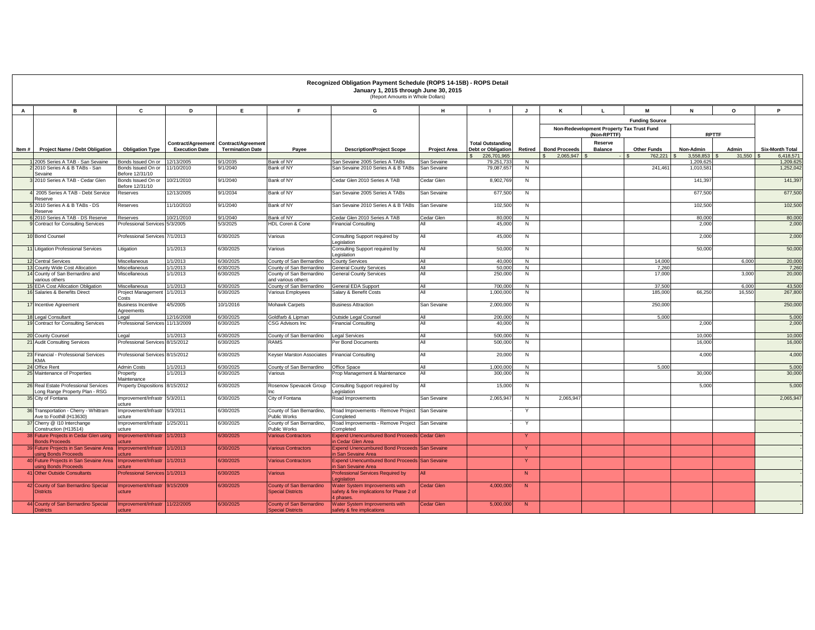|        |                                                                           |                                          |                        |                                       |                                                      | Recognized Obligation Payment Schedule (ROPS 14-15B) - ROPS Detail<br>January 1, 2015 through June 30, 2015<br>(Report Amounts in Whole Dollars) |                     |                                          |                     |                                   |                                                          |                               |                        |                 |                                     |
|--------|---------------------------------------------------------------------------|------------------------------------------|------------------------|---------------------------------------|------------------------------------------------------|--------------------------------------------------------------------------------------------------------------------------------------------------|---------------------|------------------------------------------|---------------------|-----------------------------------|----------------------------------------------------------|-------------------------------|------------------------|-----------------|-------------------------------------|
| A      | в                                                                         | C                                        | D                      | Е.                                    | F.                                                   | G                                                                                                                                                | н                   |                                          | $\mathbf{J}$        | К                                 | $\mathbf{I}$                                             | M                             | N                      | $\circ$         | P                                   |
|        |                                                                           |                                          |                        |                                       |                                                      |                                                                                                                                                  |                     |                                          |                     |                                   |                                                          | <b>Funding Source</b>         |                        |                 |                                     |
|        |                                                                           |                                          |                        |                                       |                                                      |                                                                                                                                                  |                     |                                          |                     |                                   | Non-Redevelopment Property Tax Trust Fund<br>(Non-RPTTF) |                               | <b>RPTTF</b>           |                 |                                     |
|        |                                                                           |                                          |                        | Contract/Agreement Contract/Agreement |                                                      |                                                                                                                                                  |                     | <b>Total Outstanding</b>                 |                     |                                   | Reserve                                                  |                               |                        |                 |                                     |
| Item # | <b>Project Name / Debt Obligation</b>                                     | <b>Obligation Type</b>                   | <b>Execution Date</b>  | <b>Termination Date</b>               | Payee                                                | <b>Description/Project Scope</b>                                                                                                                 | <b>Project Area</b> | <b>Debt or Obligation</b><br>226.701.965 | Retired             | <b>Bond Proceeds</b><br>2,065,947 | <b>Balance</b>                                           | <b>Other Funds</b><br>762.221 | Non-Admin<br>3.558.853 | Admin<br>31,550 | <b>Six-Month Total</b><br>6.418.571 |
|        | 2005 Series A TAB - San Sevaine                                           | Bonds Issued On or                       | 2/13/2005              | 1/2035                                | Bank of NY                                           | San Sevaine 2005 Series A TABs                                                                                                                   | San Sevaine         | 79,251,73                                | N                   |                                   |                                                          |                               | 1,209,625              |                 | 1,209,62                            |
|        | 2010 Series A & B TABs - San<br>Sevaine                                   | Bonds Issued On or<br>Before 12/31/10    | 1/10/2010              | 9/1/2040                              | Bank of NY                                           | San Sevaine 2010 Series A & B TABs                                                                                                               | San Sevaine         | 79,087,657                               | N                   |                                   |                                                          | 241,461                       | 1,010,58               |                 | 1,252,042                           |
|        | 2010 Series A TAB - Cedar Glen                                            | Bonds Issued On or<br>Before 12/31/10    | 10/21/2010             | 9/1/2040                              | Bank of NY                                           | Cedar Glen 2010 Series A TAB                                                                                                                     | Cedar Glen          | 8,902,76                                 | N                   |                                   |                                                          |                               | 141,397                |                 | 141,397                             |
|        | 2005 Series A TAB - Debt Service<br>Reserve                               | Reserves                                 | 12/13/2005             | 9/1/2034                              | Bank of NY                                           | San Sevaine 2005 Series A TABs                                                                                                                   | San Sevaine         | 677,500                                  | N                   |                                   |                                                          |                               | 677,500                |                 | 677,500                             |
|        | 2010 Series A & B TABs - DS<br>eserve                                     | Reserves                                 | 11/10/2010             | 9/1/2040                              | Bank of NY                                           | San Sevaine 2010 Series A & B TABs                                                                                                               | San Sevaine         | 102,500                                  | N                   |                                   |                                                          |                               | 102,500                |                 | 102,500                             |
|        | 2010 Series A TAB - DS Reserve<br><b>Contract for Consulting Services</b> | Reserves<br><b>Professional Services</b> | 10/21/2010<br>5/3/2005 | 9/1/2040<br>5/3/2025                  | Bank of NY<br>HDL Coren & Cone                       | Cedar Glen 2010 Series A TAB<br><b>Financial Consulting</b>                                                                                      | Cedar Glen          | 80,000<br>45,000                         | $\overline{N}$<br>N |                                   |                                                          |                               | 80,000<br>2,000        |                 | 80,000<br>2,000                     |
|        |                                                                           |                                          |                        |                                       |                                                      |                                                                                                                                                  |                     |                                          |                     |                                   |                                                          |                               |                        |                 |                                     |
|        | 10 Bond Counsel                                                           | Professional Services 7/1/2013           |                        | 6/30/2025                             | Various                                              | Consulting Support required by<br>Legislation                                                                                                    | All                 | 45,000                                   | N                   |                                   |                                                          |                               | 2,000                  |                 | 2,000                               |
|        | 1 Litigation Professional Services                                        | Litigation                               | 1/1/2013               | 6/30/2025                             | Various                                              | Consulting Support required by<br>Legislation                                                                                                    | All                 | 50,000                                   | N                   |                                   |                                                          |                               | 50,000                 |                 | 50,000                              |
|        | <b>12 Central Services</b>                                                | Miscellaneous                            | 1/1/2013               | 3/30/2025                             | County of San Bernardino                             | County Services                                                                                                                                  | All                 | 40,000                                   | $\overline{N}$      |                                   |                                                          | 14,000                        |                        | 6.000           | 20,000                              |
|        | ounty Wide Cost Allocation<br>14 County of San Bernardino and             | Miscellaneous<br>Miscellaneous           | /1/2013<br>/1/2013     | /30/2025<br>/30/2025                  | County of San Bernardino<br>County of San Bernardino | <b>Seneral County Services</b><br><b>General County Services</b>                                                                                 | All<br>All          | 50,000<br>250,000                        | N<br>N              |                                   |                                                          | 7,260<br>17,000               |                        | 3.000           | 7,260<br>20,000                     |
|        | arious others                                                             |                                          |                        |                                       | and various others                                   |                                                                                                                                                  |                     |                                          |                     |                                   |                                                          |                               |                        |                 |                                     |
|        | <b>15 EDA Cost Allocation Obligation</b>                                  | Miscellaneous                            | 1/1/2013               | 3/30/2025                             | County of San Bernardino                             | <b>General EDA Support</b>                                                                                                                       | All                 | 700,000                                  | N                   |                                   |                                                          | 37,500                        |                        | 6.000           | 43,500                              |
|        | 16 Salaries & Benefits Direct                                             | Project Management<br>Costs              | 1/1/2013               | 30/2025                               | /arious Employees                                    | Salary & Benefit Costs                                                                                                                           | All                 | 1.000.000                                | N                   |                                   |                                                          | 185,000                       | 66,250                 | 16.55           | 267,800                             |
|        | 17 Incentive Agreement                                                    | <b>Business Incentive</b><br>Agreements  | 4/5/2005               | 10/1/2016                             | <b>Mohawk Carpets</b>                                | <b>Business Attraction</b>                                                                                                                       | San Sevaine         | 2,000,000                                | $\overline{N}$      |                                   |                                                          | 250,000                       |                        |                 | 250,000                             |
|        | 18 Legal Consultant                                                       | Legal                                    | 12/16/2008             | 6/30/2025                             | Goldfarb & Lioman                                    | Outside Legal Counsel                                                                                                                            | All                 | 200,000                                  | $\overline{N}$      |                                   |                                                          | 5.000                         |                        |                 | 5,000                               |
|        | 19 Contract for Consulting Services                                       | Professional Services                    | 11/13/2009             | 3/30/2025                             | <b>CSG Advisors Inc.</b>                             | Financial Consulting                                                                                                                             | All                 | 40,00                                    | N                   |                                   |                                                          |                               | 2,000                  |                 | 2,000                               |
|        | 20 County Counsel                                                         | Legal                                    | 1/1/2013               | 6/30/2025                             | County of San Bernardino                             | Legal Services                                                                                                                                   | All                 | 500,000                                  | N                   |                                   |                                                          |                               | 10,000                 |                 | 10,000                              |
|        | 21 Audit Consulting Services                                              | <b>Professional Services</b>             | 8/15/2012              | 3/30/2025                             | RAMS                                                 | Per Bond Documents                                                                                                                               | All                 | 500,000                                  | N                   |                                   |                                                          |                               | 16,000                 |                 | 16,000                              |
|        | 23 Financial - Professional Services<br><b>KMA</b>                        | Professional Services 8/15/2012          |                        | 3/30/2025                             | Keyser Marston Associates                            | <b>Financial Consulting</b>                                                                                                                      | All                 | 20,000                                   | N                   |                                   |                                                          |                               | 4,000                  |                 | 4,000                               |
|        | 24 Office Rent                                                            | Admin Costs                              | 1/1/2013               | 6/30/2025                             | County of San Bernardino                             | Office Space                                                                                                                                     | All                 | 1,000,000                                | $\overline{N}$      |                                   |                                                          | 5.000                         |                        |                 | 5,000                               |
|        | 25 Maintenance of Properties                                              | Property<br>Maintenance                  | /1/2013                | 3/30/2025                             | Various                                              | Prop Management & Maintenance                                                                                                                    | All                 | 300,000                                  | N                   |                                   |                                                          |                               | 30,000                 |                 | 30,000                              |
|        | 26 Real Estate Professional Services<br>Long Range Property Plan - RSG    | Property Dispositions 8/15/2012          |                        | 6/30/2025                             | Rosenow Spevacek Group                               | Consulting Support required by<br>egislation                                                                                                     | All                 | 15,000                                   | N                   |                                   |                                                          |                               | 5,000                  |                 | 5,000                               |
|        | 35 City of Fontana                                                        | mprovement/Infrastr<br><b>ICfure</b>     | 5/3/2011               | 3/30/2025                             | City of Fontana                                      | Road Improvements                                                                                                                                | San Sevaine         | 2,065,947                                | N                   | 2,065,947                         |                                                          |                               |                        |                 | 2,065,947                           |
|        | 36 Transportation - Cherry - Whittram<br>Ave to Foothill (H13630)         | mprovement/Infrastr<br>ucture            | 5/3/2011               | 3/30/2025                             | County of San Bernardino,<br>Public Works            | Road Improvements - Remove Project<br>Completed                                                                                                  | San Sevaine         |                                          | Y                   |                                   |                                                          |                               |                        |                 |                                     |
|        | 37 Cherry @ 110 Interchange<br>Construction (H13514)                      | mprovement/Infrastr<br>ucture            | 1/25/2011              | 3/30/2025                             | County of San Bernardino,<br><b>Public Works</b>     | Road Improvements - Remove Project<br>Completed                                                                                                  | San Sevaine         |                                          | Y                   |                                   |                                                          |                               |                        |                 |                                     |
|        | <b>Future Projects in Cedar Glen using</b><br>onds Proceeds               | Improvement/Infrast<br><b>cture</b>      | 1/1/2013               | 3/0/2025                              | <b>Various Contractors</b>                           | Expend Unencumbured Bond Proceeds Cedar Glen<br>n Cedar Glen Area                                                                                |                     |                                          | Y                   |                                   |                                                          |                               |                        |                 |                                     |
|        | Future Projects in San Sevaine Area<br>sing Bonds Proceeds                | Improvement/Infrast<br>icture            | 1/1/2013               | 3/30/2025                             | <b>Various Contractors</b>                           | <b>Expend Unencumbured Bond Proceeds San Sevaine</b><br>n San Sevaine Area                                                                       |                     |                                          | Y                   |                                   |                                                          |                               |                        |                 |                                     |
|        | <b>Future Projects in San Sevaine Area</b><br>sing Bonds Proceeds         | Improvement/Infrast<br><b>ICfure</b>     | 1/1/2013               | 3/30/2025                             | <b>Various Contractors</b>                           | <b>Expend Unencumbured Bond Proceeds San Sevaine</b><br>in San Sevaine Area                                                                      |                     |                                          | $\mathbf{Y}$        |                                   |                                                          |                               |                        |                 |                                     |
|        | <b>Other Outside Consultants</b>                                          | <b>Professional Services</b>             | 1/1/2013               | 3/30/2025                             | Various                                              | <b>Professional Services Required by</b>                                                                                                         |                     |                                          | N                   |                                   |                                                          |                               |                        |                 |                                     |
|        | 42 County of San Bernardino Special<br><b>Districts</b>                   | Improvement/Infrastr<br><b>ucture</b>    | 9/15/2009              | /30/2025                              | County of San Bernardino<br><b>Special Districts</b> | Water System Improvements with<br>safety & fire implications for Phase 2 of<br>phases                                                            | Cedar Glen          | 4,000,00                                 | N                   |                                   |                                                          |                               |                        |                 |                                     |
|        | 44 County of San Bernardino Special<br><b>Districts</b>                   | Improvement/Infrastr<br><b>ucture</b>    | 11/22/2005             | 3/0/2025                              | County of San Bernardino<br><b>Special Districts</b> | Water System Improvements with<br>safety & fire implications                                                                                     | <b>Cedar Glen</b>   | 5,000,000                                | N                   |                                   |                                                          |                               |                        |                 |                                     |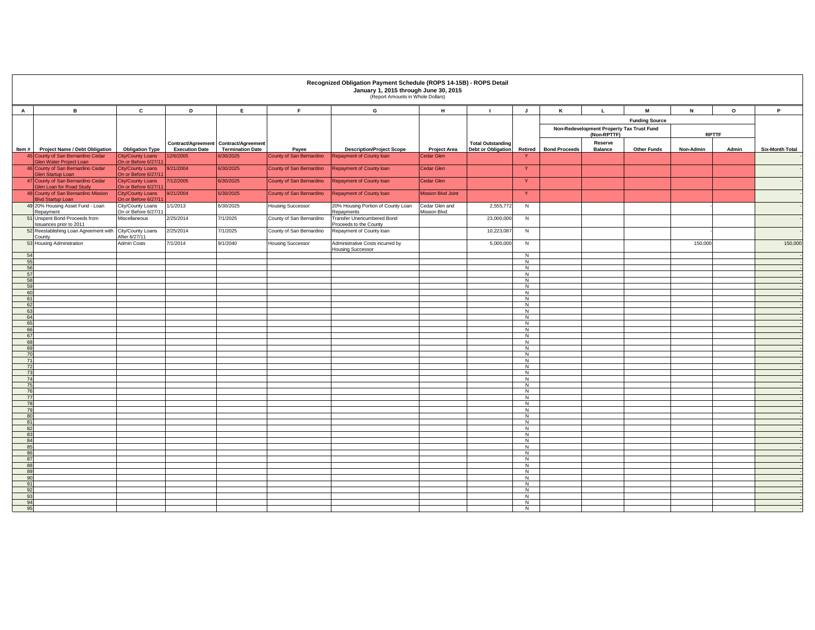|              |                                                                            |                                                    |                                    |                                       |                                   | Recognized Obligation Payment Schedule (ROPS 14-15B) - ROPS Detail<br>January 1, 2015 through June 30, 2015<br>(Report Amounts in Whole Dollars) |                                          |                           |                                  |                       |                                                          |                       |              |         |                        |
|--------------|----------------------------------------------------------------------------|----------------------------------------------------|------------------------------------|---------------------------------------|-----------------------------------|--------------------------------------------------------------------------------------------------------------------------------------------------|------------------------------------------|---------------------------|----------------------------------|-----------------------|----------------------------------------------------------|-----------------------|--------------|---------|------------------------|
| $\mathbf{A}$ | в                                                                          | c                                                  | D                                  | E                                     | F.                                | G                                                                                                                                                | н                                        | $\blacksquare$            | J                                | ĸ                     | $\mathbf{L}$                                             | M                     | N            | $\circ$ | P                      |
|              |                                                                            |                                                    |                                    |                                       |                                   |                                                                                                                                                  |                                          |                           |                                  |                       |                                                          | <b>Funding Source</b> |              |         |                        |
|              |                                                                            |                                                    |                                    |                                       |                                   |                                                                                                                                                  |                                          |                           |                                  |                       | Non-Redevelopment Property Tax Trust Fund<br>(Non-RPTTF) |                       | <b>RPTTF</b> |         |                        |
|              |                                                                            |                                                    |                                    | Contract/Agreement Contract/Agreement |                                   |                                                                                                                                                  |                                          | <b>Total Outstanding</b>  |                                  |                       | Reserve                                                  |                       |              |         |                        |
|              | Item # Project Name / Debt Obligation<br>45 County of San Bernardino Cedar | <b>Obligation Type</b><br><b>City/County Loans</b> | <b>Execution Date</b><br>12/6/2005 | <b>Termination Date</b><br>6/30/2025  | Payee<br>County of San Bernardino | <b>Description/Project Scope</b><br><b>Repayment of County loan</b>                                                                              | <b>Project Area</b><br><b>Cedar Glen</b> | <b>Debt or Obligation</b> | -Y                               | Retired Bond Proceeds | <b>Balance</b>                                           | <b>Other Funds</b>    | Non-Admin    | Admin   | <b>Six-Month Total</b> |
|              | Glen Water Project Loan<br>46 County of San Bernardino Cedar               | On or Before 6/27/1<br><b>City/County Loans</b>    | 9/21/2004                          | 6/30/2025                             | County of San Bernardino          | <b>Repayment of County loan</b>                                                                                                                  | Cedar Glen                               |                           | Y                                |                       |                                                          |                       |              |         |                        |
|              | Glen Startup Loan                                                          | On or Before 6/27/1                                |                                    |                                       |                                   |                                                                                                                                                  |                                          |                           |                                  |                       |                                                          |                       |              |         |                        |
|              | 47 County of San Bernardino Cedar<br><b>Glen Loan for Road Study</b>       | <b>City/County Loans</b><br>On or Before 6/27/1    | 7/12/2005                          | 6/30/2025                             | County of San Bernardino          | Repayment of County loan                                                                                                                         | Cedar Glen                               |                           | Y                                |                       |                                                          |                       |              |         |                        |
|              | 48 County of San Bernardino Mission<br><b>Blvd Startup Loan</b>            | <b>City/County Loans</b><br>On or Before 6/27/1    | 9/21/2004                          | 6/30/2025                             | County of San Bernardino          | Repayment of County loan                                                                                                                         | <b>Mission Blvd Joint</b>                |                           | $\mathbf{Y}$                     |                       |                                                          |                       |              |         |                        |
|              | 49 20% Housing Asset Fund - Loan<br>Repayment                              | City/County Loans<br>On or Before 6/27/11          | 1/1/2013                           | 6/30/2025                             | <b>Housing Successor</b>          | 20% Housing Portion of County Loan<br>Repayments                                                                                                 | Cedar Glen and<br>Mission Blvd.          | 2,555,772                 | $\overline{N}$                   |                       |                                                          |                       |              |         |                        |
|              | 51 Unspent Bond Proceeds from<br>Issuances prior to 2011                   | Miscellaneous                                      | 2/25/2014                          | 7/1/2025                              | County of San Bernardino          | Transfer Unencumbered Bond<br>Proceeds to the County                                                                                             |                                          | 23,000,000                | N                                |                       |                                                          |                       |              |         |                        |
|              | 52 Reestablishing Loan Agreement with<br>County                            | City/County Loans<br>After 6/27/11                 | 2/25/2014                          | 7/1/2025                              | County of San Bernardino          | Repayment of County loan                                                                                                                         |                                          | 10,223,087                | N                                |                       |                                                          |                       |              |         |                        |
|              | 53 Housing Adminstration                                                   | Admin Costs                                        | 7/1/2014                           | 9/1/2040                              | <b>Housing Successor</b>          | Administrative Costs incurred by<br><b>Housing Successor</b>                                                                                     |                                          | 5,000,000                 | N                                |                       |                                                          |                       | 150,000      |         | 150,000                |
| 54           |                                                                            |                                                    |                                    |                                       |                                   |                                                                                                                                                  |                                          |                           | $\overline{N}$                   |                       |                                                          |                       |              |         |                        |
| 55<br>56     |                                                                            |                                                    |                                    |                                       |                                   |                                                                                                                                                  |                                          |                           | N<br>N                           |                       |                                                          |                       |              |         |                        |
| 57<br>58     |                                                                            |                                                    |                                    |                                       |                                   |                                                                                                                                                  |                                          |                           | $\overline{N}$<br>N              |                       |                                                          |                       |              |         |                        |
| 59           |                                                                            |                                                    |                                    |                                       |                                   |                                                                                                                                                  |                                          |                           | $\overline{N}$                   |                       |                                                          |                       |              |         |                        |
| 60           |                                                                            |                                                    |                                    |                                       |                                   |                                                                                                                                                  |                                          |                           | $\overline{N}$                   |                       |                                                          |                       |              |         |                        |
| 61<br>62     |                                                                            |                                                    |                                    |                                       |                                   |                                                                                                                                                  |                                          |                           | N<br>$\overline{N}$              |                       |                                                          |                       |              |         |                        |
| 63           |                                                                            |                                                    |                                    |                                       |                                   |                                                                                                                                                  |                                          |                           | N                                |                       |                                                          |                       |              |         |                        |
| 64<br>65     |                                                                            |                                                    |                                    |                                       |                                   |                                                                                                                                                  |                                          |                           | N<br>N                           |                       |                                                          |                       |              |         |                        |
| 66           |                                                                            |                                                    |                                    |                                       |                                   |                                                                                                                                                  |                                          |                           | N                                |                       |                                                          |                       |              |         |                        |
| 67<br>68     |                                                                            |                                                    |                                    |                                       |                                   |                                                                                                                                                  |                                          |                           | $\overline{N}$<br>$\overline{N}$ |                       |                                                          |                       |              |         |                        |
| 69           |                                                                            |                                                    |                                    |                                       |                                   |                                                                                                                                                  |                                          |                           | $\overline{N}$                   |                       |                                                          |                       |              |         |                        |
| 70           |                                                                            |                                                    |                                    |                                       |                                   |                                                                                                                                                  |                                          |                           | N                                |                       |                                                          |                       |              |         |                        |
| 71<br>72     |                                                                            |                                                    |                                    |                                       |                                   |                                                                                                                                                  |                                          |                           | N<br>$\overline{N}$              |                       |                                                          |                       |              |         |                        |
| 73           |                                                                            |                                                    |                                    |                                       |                                   |                                                                                                                                                  |                                          |                           | N                                |                       |                                                          |                       |              |         |                        |
| 74<br>75     |                                                                            |                                                    |                                    |                                       |                                   |                                                                                                                                                  |                                          |                           | N<br>N                           |                       |                                                          |                       |              |         |                        |
| 76           |                                                                            |                                                    |                                    |                                       |                                   |                                                                                                                                                  |                                          |                           | N                                |                       |                                                          |                       |              |         |                        |
| 77<br>78     |                                                                            |                                                    |                                    |                                       |                                   |                                                                                                                                                  |                                          |                           | $\overline{N}$<br>N              |                       |                                                          |                       |              |         |                        |
| 79           |                                                                            |                                                    |                                    |                                       |                                   |                                                                                                                                                  |                                          |                           | N                                |                       |                                                          |                       |              |         |                        |
| 80           |                                                                            |                                                    |                                    |                                       |                                   |                                                                                                                                                  |                                          |                           | $\overline{N}$                   |                       |                                                          |                       |              |         |                        |
| 81<br>82     |                                                                            |                                                    |                                    |                                       |                                   |                                                                                                                                                  |                                          |                           | N<br>N                           |                       |                                                          |                       |              |         |                        |
| 83           |                                                                            |                                                    |                                    |                                       |                                   |                                                                                                                                                  |                                          |                           | N                                |                       |                                                          |                       |              |         |                        |
| 84<br>85     |                                                                            |                                                    |                                    |                                       |                                   |                                                                                                                                                  |                                          |                           | N<br>$\overline{N}$              |                       |                                                          |                       |              |         |                        |
| 86           |                                                                            |                                                    |                                    |                                       |                                   |                                                                                                                                                  |                                          |                           | $\overline{N}$                   |                       |                                                          |                       |              |         |                        |
| 87           |                                                                            |                                                    |                                    |                                       |                                   |                                                                                                                                                  |                                          |                           | $\overline{N}$                   |                       |                                                          |                       |              |         |                        |
| 88<br>89     |                                                                            |                                                    |                                    |                                       |                                   |                                                                                                                                                  |                                          |                           | N<br>N                           |                       |                                                          |                       |              |         |                        |
| 90           |                                                                            |                                                    |                                    |                                       |                                   |                                                                                                                                                  |                                          |                           | N                                |                       |                                                          |                       |              |         |                        |
| 91<br>92     |                                                                            |                                                    |                                    |                                       |                                   |                                                                                                                                                  |                                          |                           | N<br>N                           |                       |                                                          |                       |              |         |                        |
| 93           |                                                                            |                                                    |                                    |                                       |                                   |                                                                                                                                                  |                                          |                           | N                                |                       |                                                          |                       |              |         |                        |
| 94<br>95     |                                                                            |                                                    |                                    |                                       |                                   |                                                                                                                                                  |                                          |                           | N<br>$\overline{N}$              |                       |                                                          |                       |              |         |                        |
|              |                                                                            |                                                    |                                    |                                       |                                   |                                                                                                                                                  |                                          |                           |                                  |                       |                                                          |                       |              |         |                        |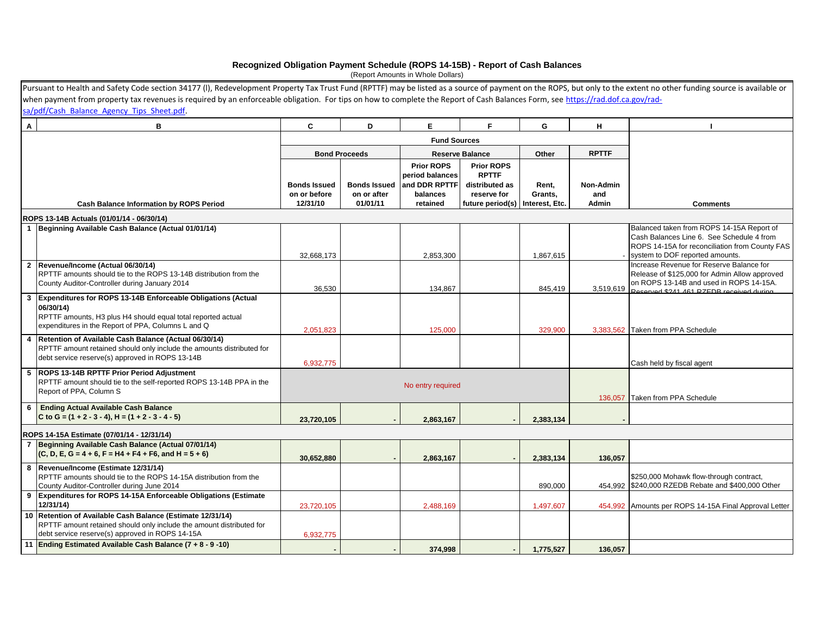#### **Recognized Obligation Payment Schedule (ROPS 14-15B) - Report of Cash Balances**

(Report Amounts in Whole Dollars)

|              | Pursuant to Health and Safety Code section 34177 (I), Redevelopment Property Tax Trust Fund (RPTTF) may be listed as a source of payment on the ROPS, but only to the extent no other funding source is available or |                                                 |                                                |                                                                               |                                                                                                         |                  |                                  |                                                                                                                                                                                  |
|--------------|----------------------------------------------------------------------------------------------------------------------------------------------------------------------------------------------------------------------|-------------------------------------------------|------------------------------------------------|-------------------------------------------------------------------------------|---------------------------------------------------------------------------------------------------------|------------------|----------------------------------|----------------------------------------------------------------------------------------------------------------------------------------------------------------------------------|
|              | when payment from property tax revenues is required by an enforceable obligation. For tips on how to complete the Report of Cash Balances Form, see https://rad.dof.ca.gov/rad-                                      |                                                 |                                                |                                                                               |                                                                                                         |                  |                                  |                                                                                                                                                                                  |
|              | sa/pdf/Cash Balance Agency Tips Sheet.pdf.                                                                                                                                                                           |                                                 |                                                |                                                                               |                                                                                                         |                  |                                  |                                                                                                                                                                                  |
| $\mathsf{A}$ | B                                                                                                                                                                                                                    | C                                               | D                                              | E.                                                                            | F                                                                                                       | G                | н                                |                                                                                                                                                                                  |
|              |                                                                                                                                                                                                                      |                                                 |                                                |                                                                               |                                                                                                         |                  |                                  |                                                                                                                                                                                  |
|              |                                                                                                                                                                                                                      |                                                 | <b>Bond Proceeds</b>                           |                                                                               | <b>Reserve Balance</b>                                                                                  | Other            | <b>RPTTF</b>                     |                                                                                                                                                                                  |
|              | <b>Cash Balance Information by ROPS Period</b>                                                                                                                                                                       | <b>Bonds Issued</b><br>on or before<br>12/31/10 | <b>Bonds Issued</b><br>on or after<br>01/01/11 | <b>Prior ROPS</b><br>period balances<br>and DDR RPTTF<br>balances<br>retained | <b>Prior ROPS</b><br><b>RPTTF</b><br>distributed as<br>reserve for<br>future period(s)   Interest, Etc. | Rent,<br>Grants, | Non-Admin<br>and<br><b>Admin</b> | <b>Comments</b>                                                                                                                                                                  |
|              |                                                                                                                                                                                                                      |                                                 |                                                |                                                                               |                                                                                                         |                  |                                  |                                                                                                                                                                                  |
|              | ROPS 13-14B Actuals (01/01/14 - 06/30/14)<br>1 Beginning Available Cash Balance (Actual 01/01/14)                                                                                                                    | 32,668,173                                      |                                                | 2,853,300                                                                     |                                                                                                         | 1,867,615        |                                  | Balanced taken from ROPS 14-15A Report of<br>Cash Balances Line 6. See Schedule 4 from<br>ROPS 14-15A for reconciliation from County FAS<br>system to DOF reported amounts.      |
|              | 2 Revenue/Income (Actual 06/30/14)<br>RPTTF amounts should tie to the ROPS 13-14B distribution from the<br>County Auditor-Controller during January 2014                                                             | 36.530                                          |                                                | 134,867                                                                       |                                                                                                         | 845,419          | 3,519,619                        | Increase Revenue for Reserve Balance for<br>Release of \$125,000 for Admin Allow approved<br>on ROPS 13-14B and used in ROPS 14-15A.<br>Reserved \$241,461,R7EDR received during |
| 3            | <b>Expenditures for ROPS 13-14B Enforceable Obligations (Actual</b><br>06/30/14)<br>RPTTF amounts, H3 plus H4 should equal total reported actual<br>expenditures in the Report of PPA, Columns L and Q               | 2,051,823                                       |                                                | 125,000                                                                       |                                                                                                         | 329,900          |                                  | 3,383,562 Taken from PPA Schedule                                                                                                                                                |
| 4            | Retention of Available Cash Balance (Actual 06/30/14)<br>RPTTF amount retained should only include the amounts distributed for<br>debt service reserve(s) approved in ROPS 13-14B                                    | 6,932,775                                       |                                                |                                                                               |                                                                                                         |                  |                                  | Cash held by fiscal agent                                                                                                                                                        |
|              | 5 ROPS 13-14B RPTTF Prior Period Adjustment<br>RPTTF amount should tie to the self-reported ROPS 13-14B PPA in the<br>Report of PPA, Column S                                                                        |                                                 |                                                | No entry required                                                             |                                                                                                         |                  |                                  | 136,057 Taken from PPA Schedule                                                                                                                                                  |
| 6            | <b>Ending Actual Available Cash Balance</b><br>C to G = $(1 + 2 - 3 - 4)$ , H = $(1 + 2 - 3 - 4 - 5)$                                                                                                                | 23,720,105                                      |                                                | 2,863,167                                                                     |                                                                                                         | 2,383,134        |                                  |                                                                                                                                                                                  |
|              | ROPS 14-15A Estimate (07/01/14 - 12/31/14)                                                                                                                                                                           |                                                 |                                                |                                                                               |                                                                                                         |                  |                                  |                                                                                                                                                                                  |
|              | Beginning Available Cash Balance (Actual 07/01/14)<br>$(C, D, E, G = 4 + 6, F = H4 + F4 + F6, and H = 5 + 6)$                                                                                                        | 30,652,880                                      |                                                | 2,863,167                                                                     |                                                                                                         | 2,383,134        | 136,057                          |                                                                                                                                                                                  |
|              | 8  Revenue/Income (Estimate 12/31/14)<br>RPTTF amounts should tie to the ROPS 14-15A distribution from the<br>County Auditor-Controller during June 2014                                                             |                                                 |                                                |                                                                               |                                                                                                         | 890,000          |                                  | \$250,000 Mohawk flow-through contract,<br>454,992 \$240,000 RZEDB Rebate and \$400,000 Other                                                                                    |
|              | 9 Expenditures for ROPS 14-15A Enforceable Obligations (Estimate<br>12/31/14)                                                                                                                                        | 23,720,105                                      |                                                | 2,488,169                                                                     |                                                                                                         | 1,497,607        |                                  | 454,992 Amounts per ROPS 14-15A Final Approval Letter                                                                                                                            |
|              | 10 Retention of Available Cash Balance (Estimate 12/31/14)<br>RPTTF amount retained should only include the amount distributed for<br>debt service reserve(s) approved in ROPS 14-15A                                | 6,932,775                                       |                                                |                                                                               |                                                                                                         |                  |                                  |                                                                                                                                                                                  |
|              | 11 Ending Estimated Available Cash Balance (7 + 8 - 9 -10)                                                                                                                                                           |                                                 |                                                | 374,998                                                                       |                                                                                                         | 1,775,527        | 136,057                          |                                                                                                                                                                                  |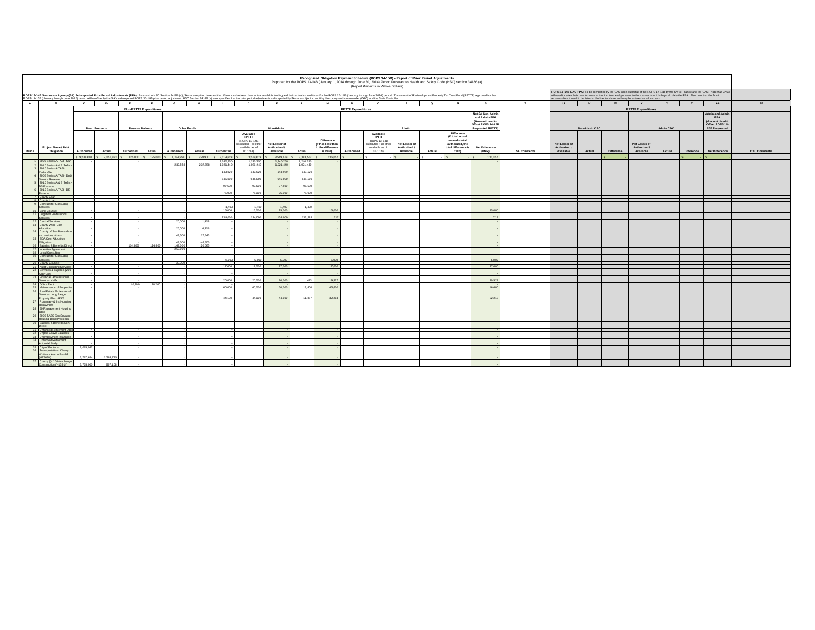|        | Recognized Obligation Payment Schedule (ROPS 14-15B) - Report of Prior Period Adjustments<br>Reported for the ROPS 13-14B (January 1, 2014 through June 30, 2014) Period Pursuant to Health and Safety Code (HSC) section 34186 (a)<br>(Report Amounts in Whole Dollars) |              |                      |           |                         |                               |              |             |                        |                                                                                                    |                                                                                                                                                                                                                                                                                                                                                                                                                                                                  |                        |                                                                          |                           |                                                                                             |                                            |          |                                                                                                           |                                                                                                      |                                                                                                                                                                                                                                                                                                                                                                                  |                                            |               |            |                                            |           |            |                                                                             |                     |
|--------|--------------------------------------------------------------------------------------------------------------------------------------------------------------------------------------------------------------------------------------------------------------------------|--------------|----------------------|-----------|-------------------------|-------------------------------|--------------|-------------|------------------------|----------------------------------------------------------------------------------------------------|------------------------------------------------------------------------------------------------------------------------------------------------------------------------------------------------------------------------------------------------------------------------------------------------------------------------------------------------------------------------------------------------------------------------------------------------------------------|------------------------|--------------------------------------------------------------------------|---------------------------|---------------------------------------------------------------------------------------------|--------------------------------------------|----------|-----------------------------------------------------------------------------------------------------------|------------------------------------------------------------------------------------------------------|----------------------------------------------------------------------------------------------------------------------------------------------------------------------------------------------------------------------------------------------------------------------------------------------------------------------------------------------------------------------------------|--------------------------------------------|---------------|------------|--------------------------------------------|-----------|------------|-----------------------------------------------------------------------------|---------------------|
|        |                                                                                                                                                                                                                                                                          |              |                      |           |                         |                               |              |             |                        |                                                                                                    | ROPS 13-14B Successor Agency (SA) Self-reported Prior Period Adjustments (PPA): Pursuant to HSC Section 34186 (a), SAs are required to report the differences between their actual available funding and their actual expendit<br>ROPS 14-158 (January through June 2015) period will be offset by the SA's self-reported ROPS 13-14B prior period adjustment. HSC Section 34186 (a) also specifies that the prior period adjustments self-reported by SAs are s |                        |                                                                          |                           |                                                                                             |                                            |          |                                                                                                           |                                                                                                      | ROPS 13-14B CAC PPA: To be completed by the CAC upon submittal of the ROPS 14-15B by the SA to Finance and the CAC. Note that CACs<br>will need to enter their own formulas at the line item level pursuant to the manner in which they calculate the PPA. Also note that the Admin<br>amounts do not need to be listed at the line item level and may be entered as a lump sum. |                                            |               |            |                                            |           |            |                                                                             |                     |
| A      | $\overline{R}$                                                                                                                                                                                                                                                           | $\mathbf{c}$ |                      | D         | E                       | F                             | $\mathbf{G}$ | H           |                        | $\mathbf{r}$                                                                                       | <b>K</b>                                                                                                                                                                                                                                                                                                                                                                                                                                                         | $\mathbf{L}$           | M                                                                        | N                         | $\circ$                                                                                     | P                                          | $\alpha$ | R                                                                                                         | $\mathbf{s}$                                                                                         | T                                                                                                                                                                                                                                                                                                                                                                                | $\mathbf{U}$                               | V             | W          | $\mathbf{x}$                               | Y         | Z          | AA                                                                          | AB                  |
|        |                                                                                                                                                                                                                                                                          |              |                      |           |                         | <b>Non-RPTTF Expenditures</b> |              |             |                        |                                                                                                    |                                                                                                                                                                                                                                                                                                                                                                                                                                                                  |                        |                                                                          | <b>RPTTF Expenditures</b> |                                                                                             |                                            |          |                                                                                                           |                                                                                                      |                                                                                                                                                                                                                                                                                                                                                                                  |                                            |               |            | <b>RPTTF Expenditures</b>                  |           |            |                                                                             |                     |
|        |                                                                                                                                                                                                                                                                          |              | <b>Bond Proceeds</b> |           |                         | Reserve Balance               |              | Other Funds |                        |                                                                                                    | Non-Admin                                                                                                                                                                                                                                                                                                                                                                                                                                                        |                        |                                                                          |                           |                                                                                             | Admin                                      |          |                                                                                                           | Net SA Non-Admir<br>and Admin PPA<br>(Amount Used to<br>Offset ROPS 14-15<br><b>Requested RPTTF)</b> |                                                                                                                                                                                                                                                                                                                                                                                  |                                            | Non-Admin CAC |            |                                            | Admin CAC |            | dmin and Admi<br>PPA<br>(Amount Used to<br>Offset ROPS 14-<br>15B Requested |                     |
| Item # | Project Name / Debt<br>Obligation                                                                                                                                                                                                                                        | Authorized   |                      | Actual    | Authorized              | Actual                        | Authorized   | Actual      | Authorized             | Available<br><b>RPTTF</b><br>(ROPS 13-14B<br>distributed + all other<br>available as of<br>01/1/14 | Net Lesser of<br>Authorized /<br>Available                                                                                                                                                                                                                                                                                                                                                                                                                       | Actual                 | <b>Difference</b><br>(If K is less than<br>L, the difference<br>is zero) | Authorized                | Available<br>RPTTF<br>(ROPS 13-14B<br>distributed + all other<br>available as of<br>01/1/14 | Net Lesser of<br>Authorized /<br>Available | Actual   | <b>Difference</b><br>(If total actual<br>exceeds total<br>authorized, the<br>total difference is<br>zero) | <b>Net Difference</b><br>$(M+R)$                                                                     | <b>SA Comments</b>                                                                                                                                                                                                                                                                                                                                                               | Net Lesser of<br>Authorized /<br>Available | Actual        | Difference | Net Lesser of<br>Authorized /<br>Available | Actual    | Difference | Net Difference                                                              | <b>CAC Comments</b> |
|        | 1 2005 Series A TAB - San                                                                                                                                                                                                                                                | 9.538,601    |                      |           | \$ 2,051,823 \$ 125,000 | \$125.000                     | 1,084,558    | 329,900     | 3,519,619              | 3,519,619                                                                                          | 3,519,619                                                                                                                                                                                                                                                                                                                                                                                                                                                        | 3.383.562              | 136,057                                                                  |                           |                                                                                             |                                            |          |                                                                                                           | 136,057                                                                                              |                                                                                                                                                                                                                                                                                                                                                                                  |                                            |               |            |                                            |           |            |                                                                             |                     |
|        | 2 2010 Series A & B TABs                                                                                                                                                                                                                                                 |              |                      |           |                         |                               | 237,558      | 237,55      | 1,240,250<br>1,021,440 | 1,240,250<br>1,021,440                                                                             | 1,240,250<br>1,021,440                                                                                                                                                                                                                                                                                                                                                                                                                                           | 1,240,250<br>1,021,440 |                                                                          |                           |                                                                                             |                                            |          |                                                                                                           |                                                                                                      |                                                                                                                                                                                                                                                                                                                                                                                  |                                            |               |            |                                            |           |            |                                                                             |                     |
|        | 3 2010 Series A TAB -<br>Cedar Glen                                                                                                                                                                                                                                      |              |                      |           |                         |                               |              |             | 143,929                | 143,929                                                                                            | 143,929                                                                                                                                                                                                                                                                                                                                                                                                                                                          | 143.92                 |                                                                          |                           |                                                                                             |                                            |          |                                                                                                           |                                                                                                      |                                                                                                                                                                                                                                                                                                                                                                                  |                                            |               |            |                                            |           |            |                                                                             |                     |
|        | 4 2005 Series A TAB - Deb                                                                                                                                                                                                                                                |              |                      |           |                         |                               |              |             |                        |                                                                                                    |                                                                                                                                                                                                                                                                                                                                                                                                                                                                  |                        |                                                                          |                           |                                                                                             |                                            |          |                                                                                                           |                                                                                                      |                                                                                                                                                                                                                                                                                                                                                                                  |                                            |               |            |                                            |           |            |                                                                             |                     |
|        | Service Reserve<br>2010 Series A & B TABs                                                                                                                                                                                                                                |              |                      |           |                         |                               |              |             | E45.000                | 645,000                                                                                            | 645,000                                                                                                                                                                                                                                                                                                                                                                                                                                                          | 645,00                 |                                                                          |                           |                                                                                             |                                            |          |                                                                                                           |                                                                                                      |                                                                                                                                                                                                                                                                                                                                                                                  |                                            |               |            |                                            |           |            |                                                                             |                     |
|        | OS Reserve<br>2010 Series A TAB - DS                                                                                                                                                                                                                                     |              |                      |           |                         |                               |              |             | 97.500                 | 97.500                                                                                             | 97,500                                                                                                                                                                                                                                                                                                                                                                                                                                                           | 97.500                 |                                                                          |                           |                                                                                             |                                            |          |                                                                                                           |                                                                                                      |                                                                                                                                                                                                                                                                                                                                                                                  |                                            |               |            |                                            |           |            |                                                                             |                     |
|        | teserve                                                                                                                                                                                                                                                                  |              |                      |           |                         |                               |              |             | 75,000                 | 75,000                                                                                             | 75,000                                                                                                                                                                                                                                                                                                                                                                                                                                                           | 75,000                 |                                                                          |                           |                                                                                             |                                            |          |                                                                                                           |                                                                                                      |                                                                                                                                                                                                                                                                                                                                                                                  |                                            |               |            |                                            |           |            |                                                                             |                     |
|        | County Loan<br>8 County Loan                                                                                                                                                                                                                                             |              |                      |           |                         |                               |              |             |                        |                                                                                                    |                                                                                                                                                                                                                                                                                                                                                                                                                                                                  |                        |                                                                          |                           |                                                                                             |                                            |          |                                                                                                           |                                                                                                      |                                                                                                                                                                                                                                                                                                                                                                                  |                                            |               |            |                                            |           |            |                                                                             |                     |
|        | Contract for Consulting<br>aninai                                                                                                                                                                                                                                        |              |                      |           |                         |                               |              |             | 1.400                  | 1.400                                                                                              | 1.400                                                                                                                                                                                                                                                                                                                                                                                                                                                            | 1.40                   |                                                                          |                           |                                                                                             |                                            |          |                                                                                                           |                                                                                                      |                                                                                                                                                                                                                                                                                                                                                                                  |                                            |               |            |                                            |           |            |                                                                             |                     |
|        | 10 Bond Counsel                                                                                                                                                                                                                                                          |              |                      |           |                         |                               |              |             | 15,000                 | 15,000                                                                                             | 15,000                                                                                                                                                                                                                                                                                                                                                                                                                                                           |                        | 15,000                                                                   |                           |                                                                                             |                                            |          |                                                                                                           | 15.00                                                                                                |                                                                                                                                                                                                                                                                                                                                                                                  |                                            |               |            |                                            |           |            |                                                                             |                     |
|        | 11 Litigation Professional<br>Services                                                                                                                                                                                                                                   |              |                      |           |                         |                               |              |             | 134,00                 | 134,000                                                                                            | 134,000                                                                                                                                                                                                                                                                                                                                                                                                                                                          | 133,283                | 717                                                                      |                           |                                                                                             |                                            |          |                                                                                                           | 74                                                                                                   |                                                                                                                                                                                                                                                                                                                                                                                  |                                            |               |            |                                            |           |            |                                                                             |                     |
|        | 12 Central Services<br>13 County Wide Cost                                                                                                                                                                                                                               |              |                      |           |                         |                               | 20,000       | 1,918       |                        |                                                                                                    |                                                                                                                                                                                                                                                                                                                                                                                                                                                                  |                        |                                                                          |                           |                                                                                             |                                            |          |                                                                                                           |                                                                                                      |                                                                                                                                                                                                                                                                                                                                                                                  |                                            |               |            |                                            |           |            |                                                                             |                     |
|        | Incation                                                                                                                                                                                                                                                                 |              |                      |           |                         |                               | 26,000       | 6.316       |                        |                                                                                                    |                                                                                                                                                                                                                                                                                                                                                                                                                                                                  |                        |                                                                          |                           |                                                                                             |                                            |          |                                                                                                           |                                                                                                      |                                                                                                                                                                                                                                                                                                                                                                                  |                                            |               |            |                                            |           |            |                                                                             |                     |
|        | 14 County of San Bernardin<br>and various others                                                                                                                                                                                                                         |              |                      |           |                         |                               | 43,500       | 17.543      |                        |                                                                                                    |                                                                                                                                                                                                                                                                                                                                                                                                                                                                  |                        |                                                                          |                           |                                                                                             |                                            |          |                                                                                                           |                                                                                                      |                                                                                                                                                                                                                                                                                                                                                                                  |                                            |               |            |                                            |           |            |                                                                             |                     |
|        | 15 EDA Cost Allocation<br>noitsation                                                                                                                                                                                                                                     |              |                      |           |                         |                               | 43,500       | 46.51       |                        |                                                                                                    |                                                                                                                                                                                                                                                                                                                                                                                                                                                                  |                        |                                                                          |                           |                                                                                             |                                            |          |                                                                                                           |                                                                                                      |                                                                                                                                                                                                                                                                                                                                                                                  |                                            |               |            |                                            |           |            |                                                                             |                     |
|        | 16 Salaries & Benefits Direc                                                                                                                                                                                                                                             |              |                      |           | 114,800                 | 114,800                       | 167,000      | 20,065      |                        |                                                                                                    |                                                                                                                                                                                                                                                                                                                                                                                                                                                                  |                        |                                                                          |                           |                                                                                             |                                            |          |                                                                                                           |                                                                                                      |                                                                                                                                                                                                                                                                                                                                                                                  |                                            |               |            |                                            |           |            |                                                                             |                     |
|        | 17 Incentive Agreement<br>18 Legal Consultant                                                                                                                                                                                                                            |              |                      |           |                         |                               | 250,000      |             |                        |                                                                                                    |                                                                                                                                                                                                                                                                                                                                                                                                                                                                  |                        |                                                                          |                           |                                                                                             |                                            |          |                                                                                                           |                                                                                                      |                                                                                                                                                                                                                                                                                                                                                                                  |                                            |               |            |                                            |           |            |                                                                             |                     |
|        | 19 Contract for Consulting<br><b>Services</b>                                                                                                                                                                                                                            |              |                      |           |                         |                               |              |             | 5.00                   | 5.000                                                                                              | 5,000                                                                                                                                                                                                                                                                                                                                                                                                                                                            |                        | 5,000                                                                    |                           |                                                                                             |                                            |          |                                                                                                           |                                                                                                      |                                                                                                                                                                                                                                                                                                                                                                                  |                                            |               |            |                                            |           |            |                                                                             |                     |
|        | 20 County Counsel                                                                                                                                                                                                                                                        |              |                      |           |                         |                               | 30,000       |             | 17,000                 | 17,000                                                                                             | 17,000                                                                                                                                                                                                                                                                                                                                                                                                                                                           |                        | 17,000                                                                   |                           |                                                                                             |                                            |          |                                                                                                           | 17.000                                                                                               |                                                                                                                                                                                                                                                                                                                                                                                  |                                            |               |            |                                            |           |            |                                                                             |                     |
|        | 21 Audit Consulting Service<br>Services & Supplies (200                                                                                                                                                                                                                  |              |                      |           |                         |                               |              |             |                        |                                                                                                    |                                                                                                                                                                                                                                                                                                                                                                                                                                                                  |                        |                                                                          |                           |                                                                                             |                                            |          |                                                                                                           |                                                                                                      |                                                                                                                                                                                                                                                                                                                                                                                  |                                            |               |            |                                            |           |            |                                                                             |                     |
|        | Appr Unit)<br>23 Financial - Professional                                                                                                                                                                                                                                |              |                      |           |                         |                               |              |             |                        |                                                                                                    |                                                                                                                                                                                                                                                                                                                                                                                                                                                                  |                        |                                                                          |                           |                                                                                             |                                            |          |                                                                                                           |                                                                                                      |                                                                                                                                                                                                                                                                                                                                                                                  |                                            |               |            |                                            |           |            |                                                                             |                     |
|        | Services KMA<br>24 Office Rent                                                                                                                                                                                                                                           |              |                      |           | 10.200                  | 10.200                        |              |             | 20,000                 | 20,000                                                                                             | 20,000                                                                                                                                                                                                                                                                                                                                                                                                                                                           |                        | 19.527                                                                   |                           |                                                                                             |                                            |          |                                                                                                           | 19.527                                                                                               |                                                                                                                                                                                                                                                                                                                                                                                  |                                            |               |            |                                            |           |            |                                                                             |                     |
|        | 25 Maintenance of Propert                                                                                                                                                                                                                                                |              |                      |           |                         |                               |              |             | 60,000                 | 60,000                                                                                             | 60,000                                                                                                                                                                                                                                                                                                                                                                                                                                                           | 13,400                 | 46,600                                                                   |                           |                                                                                             |                                            |          |                                                                                                           | 46,600                                                                                               |                                                                                                                                                                                                                                                                                                                                                                                  |                                            |               |            |                                            |           |            |                                                                             |                     |
|        | 26 Real Estate Professional<br>Services Long Range                                                                                                                                                                                                                       |              |                      |           |                         |                               |              |             |                        |                                                                                                    |                                                                                                                                                                                                                                                                                                                                                                                                                                                                  |                        |                                                                          |                           |                                                                                             |                                            |          |                                                                                                           |                                                                                                      |                                                                                                                                                                                                                                                                                                                                                                                  |                                            |               |            |                                            |           |            |                                                                             |                     |
|        | Property Plan - RSG<br>Rosemary & Iris Housin                                                                                                                                                                                                                            |              |                      |           |                         |                               |              |             | 44,100                 | 44,100                                                                                             | 44,100                                                                                                                                                                                                                                                                                                                                                                                                                                                           | 11,887                 | 32.213                                                                   |                           |                                                                                             |                                            |          |                                                                                                           | 32,213                                                                                               |                                                                                                                                                                                                                                                                                                                                                                                  |                                            |               |            |                                            |           |            |                                                                             |                     |
|        | Repayment<br>28 50 Replacement Housin                                                                                                                                                                                                                                    |              |                      |           |                         |                               |              |             |                        |                                                                                                    |                                                                                                                                                                                                                                                                                                                                                                                                                                                                  |                        |                                                                          |                           |                                                                                             |                                            |          |                                                                                                           |                                                                                                      |                                                                                                                                                                                                                                                                                                                                                                                  |                                            |               |            |                                            |           |            |                                                                             |                     |
|        |                                                                                                                                                                                                                                                                          |              |                      |           |                         |                               |              |             |                        |                                                                                                    |                                                                                                                                                                                                                                                                                                                                                                                                                                                                  |                        |                                                                          |                           |                                                                                             |                                            |          |                                                                                                           |                                                                                                      |                                                                                                                                                                                                                                                                                                                                                                                  |                                            |               |            |                                            |           |            |                                                                             |                     |
|        | 29 2005 TABS San Sevaine<br>lousing Bond Proceeds                                                                                                                                                                                                                        |              |                      |           |                         |                               |              |             |                        |                                                                                                    |                                                                                                                                                                                                                                                                                                                                                                                                                                                                  |                        |                                                                          |                           |                                                                                             |                                            |          |                                                                                                           |                                                                                                      |                                                                                                                                                                                                                                                                                                                                                                                  |                                            |               |            |                                            |           |            |                                                                             |                     |
|        | 30 Salaries & Benefits Non-<br>Direct.                                                                                                                                                                                                                                   |              |                      |           |                         |                               |              |             |                        |                                                                                                    |                                                                                                                                                                                                                                                                                                                                                                                                                                                                  |                        |                                                                          |                           |                                                                                             |                                            |          |                                                                                                           |                                                                                                      |                                                                                                                                                                                                                                                                                                                                                                                  |                                            |               |            |                                            |           |            |                                                                             |                     |
|        | 31 Unfunded Retirement Ob                                                                                                                                                                                                                                                |              |                      |           |                         |                               |              |             |                        |                                                                                                    |                                                                                                                                                                                                                                                                                                                                                                                                                                                                  |                        |                                                                          |                           |                                                                                             |                                            |          |                                                                                                           |                                                                                                      |                                                                                                                                                                                                                                                                                                                                                                                  |                                            |               |            |                                            |           |            |                                                                             |                     |
|        | <b>Unpaid Leave Balances</b><br>33 Unemployment Insurance                                                                                                                                                                                                                |              |                      |           |                         |                               |              |             |                        |                                                                                                    |                                                                                                                                                                                                                                                                                                                                                                                                                                                                  |                        |                                                                          |                           |                                                                                             |                                            |          |                                                                                                           |                                                                                                      |                                                                                                                                                                                                                                                                                                                                                                                  |                                            |               |            |                                            |           |            |                                                                             |                     |
|        | 34 Unfunded Retirement<br>Actuarial Study                                                                                                                                                                                                                                |              |                      |           |                         |                               |              |             |                        |                                                                                                    |                                                                                                                                                                                                                                                                                                                                                                                                                                                                  |                        |                                                                          |                           |                                                                                             |                                            |          |                                                                                                           |                                                                                                      |                                                                                                                                                                                                                                                                                                                                                                                  |                                            |               |            |                                            |           |            |                                                                             |                     |
|        | City of Fontana                                                                                                                                                                                                                                                          | 2.065.947    |                      |           |                         |                               |              |             |                        |                                                                                                    |                                                                                                                                                                                                                                                                                                                                                                                                                                                                  |                        |                                                                          |                           |                                                                                             |                                            |          |                                                                                                           |                                                                                                      |                                                                                                                                                                                                                                                                                                                                                                                  |                                            |               |            |                                            |           |            |                                                                             |                     |
|        | 36 Transportation - Cherry<br>Whittram Ave to Foothill<br>(DEBE1H)                                                                                                                                                                                                       |              | 3,767,654            | 1,384,715 |                         |                               |              |             |                        |                                                                                                    |                                                                                                                                                                                                                                                                                                                                                                                                                                                                  |                        |                                                                          |                           |                                                                                             |                                            |          |                                                                                                           |                                                                                                      |                                                                                                                                                                                                                                                                                                                                                                                  |                                            |               |            |                                            |           |            |                                                                             |                     |
|        | 37 Cherry @ I10 Interchange                                                                                                                                                                                                                                              |              |                      |           |                         |                               |              |             |                        |                                                                                                    |                                                                                                                                                                                                                                                                                                                                                                                                                                                                  |                        |                                                                          |                           |                                                                                             |                                            |          |                                                                                                           |                                                                                                      |                                                                                                                                                                                                                                                                                                                                                                                  |                                            |               |            |                                            |           |            |                                                                             |                     |
|        | Construction (H13514)                                                                                                                                                                                                                                                    | 3.705.000    |                      | 667.108   |                         |                               |              |             |                        |                                                                                                    |                                                                                                                                                                                                                                                                                                                                                                                                                                                                  |                        |                                                                          |                           |                                                                                             |                                            |          |                                                                                                           |                                                                                                      |                                                                                                                                                                                                                                                                                                                                                                                  |                                            |               |            |                                            |           |            |                                                                             |                     |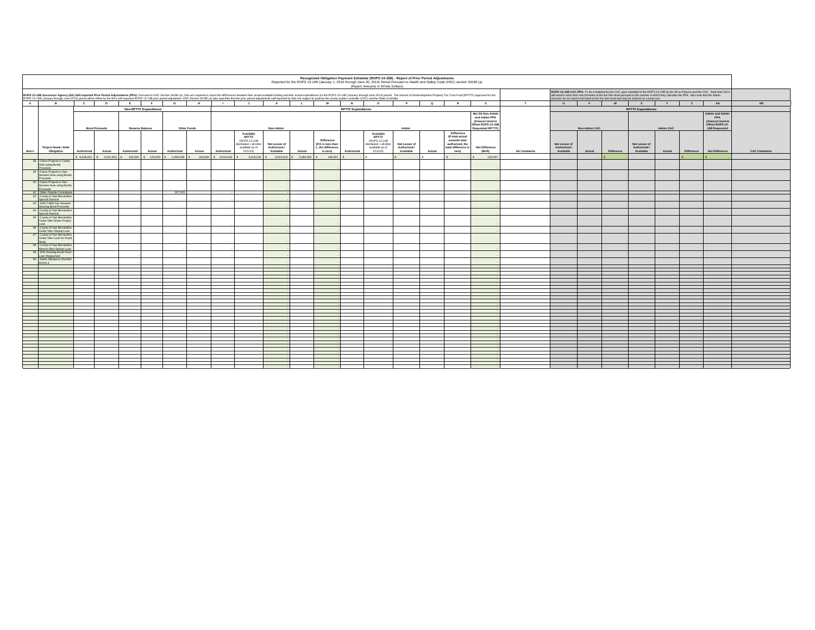| ROPS 13-14B Successor Agency (SA) Self-reported Prior Period Adjustments (PPA): Pursuant to HSC Section 34186 (a), SAs are required to report the differences between their actual available funding and their actual availabl<br>ROPS 14-15B (January through June 2015) period will be offset by the SA's self-reported ROPS 13-14B prior period adjustment. HSC Section 34186 (a) also specifies that the prior period adjustments self-reported by SAs are s<br>amounts do not need to be listed at the line item level and may be entered as a lump sum.<br>F<br>A.<br>$\mathbf{c}$<br>D<br>E<br>$\overline{G}$<br>H<br>K<br>$\mathbf{L}$ .<br>M<br>N<br>$\alpha$<br>R<br>$\mathbf{s}$<br>T<br>W<br>B<br>$\mathbf{J}$<br>$\circ$<br>P<br>$\mathbf{U}$<br>V<br><b>Non-RPTTF Expenditures</b><br><b>RPTTF Expenditures</b><br>Net SA Non-Admir<br>and Admin PPA<br>(Amount Used to<br>Offset ROPS 14-158<br><b>Requested RPTTF)</b><br><b>Bond Proceeds</b><br>Reserve Balance<br>Other Funds<br>Non-Admin<br>Non-Admin CAC<br>Admin<br>Difference<br>Available<br>Available<br>(If total actual<br>RPTTF<br><b>RPTTF</b><br>exceeds total<br><b>Difference</b><br>(ROPS 13-14B<br>(ROPS 13-14B)<br>(If K is less than<br>Net Lesser of<br>Net Lesser of<br>distributed + all other<br>Net Lesser of<br>distributed + all other<br>authorized, the<br>Authorized /<br>L, the difference<br>total difference is<br><b>Net Difference</b><br>Authorized /<br>Authorized /<br>Project Name / Debt<br>available as of<br>available as of<br>tem #<br>Difference<br>Obligation<br>Authorized<br>Actual<br>Authorized<br>Actual<br>Authorized<br>Actual<br>Authorized<br>01/1/14<br>Available<br>Actual<br>is zero)<br>Authorized<br>01/1/14<br>Available<br>Actual<br>zero)<br>$(M+R)$<br><b>SA Comments</b><br>Available<br>Actual<br>9.538.601 \$ 2.051.823 \$ 125.000 \$ 125.000 \$ 1.084.558<br>329,900<br>\$ 3,519,619<br>3,519,619<br>3,519,619<br>3.383.562<br>136,057<br>136.05<br>38 Future Projects in Cedar<br>Glen using Bonds<br><b>Proceeds</b><br>39 Future Projects in San<br>Sevaine Area using Bonds | ROPS 13-14B CAC PPA: To be completed by the CAC upon submittal of the ROPS 14-15B by the SA to Finance and the CAC. Note that CACs will need to enter their own formulas at the line line them well pursuant to the manner in<br>Z<br>$\mathbf{x}$<br>Y<br>AA |                     |
|----------------------------------------------------------------------------------------------------------------------------------------------------------------------------------------------------------------------------------------------------------------------------------------------------------------------------------------------------------------------------------------------------------------------------------------------------------------------------------------------------------------------------------------------------------------------------------------------------------------------------------------------------------------------------------------------------------------------------------------------------------------------------------------------------------------------------------------------------------------------------------------------------------------------------------------------------------------------------------------------------------------------------------------------------------------------------------------------------------------------------------------------------------------------------------------------------------------------------------------------------------------------------------------------------------------------------------------------------------------------------------------------------------------------------------------------------------------------------------------------------------------------------------------------------------------------------------------------------------------------------------------------------------------------------------------------------------------------------------------------------------------------------------------------------------------------------------------------------------------------------------------------------------------------------------------------------------------------------------------------------------------------------------------------------------------------------------------------------------------------|---------------------------------------------------------------------------------------------------------------------------------------------------------------------------------------------------------------------------------------------------------------|---------------------|
|                                                                                                                                                                                                                                                                                                                                                                                                                                                                                                                                                                                                                                                                                                                                                                                                                                                                                                                                                                                                                                                                                                                                                                                                                                                                                                                                                                                                                                                                                                                                                                                                                                                                                                                                                                                                                                                                                                                                                                                                                                                                                                                      |                                                                                                                                                                                                                                                               |                     |
|                                                                                                                                                                                                                                                                                                                                                                                                                                                                                                                                                                                                                                                                                                                                                                                                                                                                                                                                                                                                                                                                                                                                                                                                                                                                                                                                                                                                                                                                                                                                                                                                                                                                                                                                                                                                                                                                                                                                                                                                                                                                                                                      |                                                                                                                                                                                                                                                               | <b>AB</b>           |
|                                                                                                                                                                                                                                                                                                                                                                                                                                                                                                                                                                                                                                                                                                                                                                                                                                                                                                                                                                                                                                                                                                                                                                                                                                                                                                                                                                                                                                                                                                                                                                                                                                                                                                                                                                                                                                                                                                                                                                                                                                                                                                                      | <b>RPTTF Expenditures</b>                                                                                                                                                                                                                                     |                     |
|                                                                                                                                                                                                                                                                                                                                                                                                                                                                                                                                                                                                                                                                                                                                                                                                                                                                                                                                                                                                                                                                                                                                                                                                                                                                                                                                                                                                                                                                                                                                                                                                                                                                                                                                                                                                                                                                                                                                                                                                                                                                                                                      | Admin and Admi<br>PPA<br>(Amount Used to<br>Offset ROPS 14-<br>15B Requested<br>Admin CAC                                                                                                                                                                     |                     |
|                                                                                                                                                                                                                                                                                                                                                                                                                                                                                                                                                                                                                                                                                                                                                                                                                                                                                                                                                                                                                                                                                                                                                                                                                                                                                                                                                                                                                                                                                                                                                                                                                                                                                                                                                                                                                                                                                                                                                                                                                                                                                                                      | Net Lesser of<br>Authorized /<br>Available<br>Actual<br>Difference<br>Net Difference                                                                                                                                                                          | <b>CAC Comments</b> |
|                                                                                                                                                                                                                                                                                                                                                                                                                                                                                                                                                                                                                                                                                                                                                                                                                                                                                                                                                                                                                                                                                                                                                                                                                                                                                                                                                                                                                                                                                                                                                                                                                                                                                                                                                                                                                                                                                                                                                                                                                                                                                                                      |                                                                                                                                                                                                                                                               |                     |
|                                                                                                                                                                                                                                                                                                                                                                                                                                                                                                                                                                                                                                                                                                                                                                                                                                                                                                                                                                                                                                                                                                                                                                                                                                                                                                                                                                                                                                                                                                                                                                                                                                                                                                                                                                                                                                                                                                                                                                                                                                                                                                                      |                                                                                                                                                                                                                                                               |                     |
| <b>Proceeds</b>                                                                                                                                                                                                                                                                                                                                                                                                                                                                                                                                                                                                                                                                                                                                                                                                                                                                                                                                                                                                                                                                                                                                                                                                                                                                                                                                                                                                                                                                                                                                                                                                                                                                                                                                                                                                                                                                                                                                                                                                                                                                                                      |                                                                                                                                                                                                                                                               |                     |
| 40 Future Projects in San<br>Sevaine Area using Bonds<br>Proceeds                                                                                                                                                                                                                                                                                                                                                                                                                                                                                                                                                                                                                                                                                                                                                                                                                                                                                                                                                                                                                                                                                                                                                                                                                                                                                                                                                                                                                                                                                                                                                                                                                                                                                                                                                                                                                                                                                                                                                                                                                                                    |                                                                                                                                                                                                                                                               |                     |
| 267,000<br>41 Other Outside Consultant                                                                                                                                                                                                                                                                                                                                                                                                                                                                                                                                                                                                                                                                                                                                                                                                                                                                                                                                                                                                                                                                                                                                                                                                                                                                                                                                                                                                                                                                                                                                                                                                                                                                                                                                                                                                                                                                                                                                                                                                                                                                               |                                                                                                                                                                                                                                                               |                     |
| 42 County of San Bernarding<br>Special Districts                                                                                                                                                                                                                                                                                                                                                                                                                                                                                                                                                                                                                                                                                                                                                                                                                                                                                                                                                                                                                                                                                                                                                                                                                                                                                                                                                                                                                                                                                                                                                                                                                                                                                                                                                                                                                                                                                                                                                                                                                                                                     |                                                                                                                                                                                                                                                               |                     |
| 43 2005 TABS San Sevaine<br>Housing Bond Proceeds                                                                                                                                                                                                                                                                                                                                                                                                                                                                                                                                                                                                                                                                                                                                                                                                                                                                                                                                                                                                                                                                                                                                                                                                                                                                                                                                                                                                                                                                                                                                                                                                                                                                                                                                                                                                                                                                                                                                                                                                                                                                    |                                                                                                                                                                                                                                                               |                     |
| 44 County of San Bernarding<br>Special Districts                                                                                                                                                                                                                                                                                                                                                                                                                                                                                                                                                                                                                                                                                                                                                                                                                                                                                                                                                                                                                                                                                                                                                                                                                                                                                                                                                                                                                                                                                                                                                                                                                                                                                                                                                                                                                                                                                                                                                                                                                                                                     |                                                                                                                                                                                                                                                               |                     |
| 45 County of San Bernardino<br>Cedar Glen Water Project                                                                                                                                                                                                                                                                                                                                                                                                                                                                                                                                                                                                                                                                                                                                                                                                                                                                                                                                                                                                                                                                                                                                                                                                                                                                                                                                                                                                                                                                                                                                                                                                                                                                                                                                                                                                                                                                                                                                                                                                                                                              |                                                                                                                                                                                                                                                               |                     |
| 46 County of San Bernarding<br>Cedar Glen Startup Loan                                                                                                                                                                                                                                                                                                                                                                                                                                                                                                                                                                                                                                                                                                                                                                                                                                                                                                                                                                                                                                                                                                                                                                                                                                                                                                                                                                                                                                                                                                                                                                                                                                                                                                                                                                                                                                                                                                                                                                                                                                                               |                                                                                                                                                                                                                                                               |                     |
| 47 County of San Bernarding<br>Cedar Glen Loan for Road                                                                                                                                                                                                                                                                                                                                                                                                                                                                                                                                                                                                                                                                                                                                                                                                                                                                                                                                                                                                                                                                                                                                                                                                                                                                                                                                                                                                                                                                                                                                                                                                                                                                                                                                                                                                                                                                                                                                                                                                                                                              |                                                                                                                                                                                                                                                               |                     |
| 48 County of San Bernarding<br>Mission Blvd Startup Loan                                                                                                                                                                                                                                                                                                                                                                                                                                                                                                                                                                                                                                                                                                                                                                                                                                                                                                                                                                                                                                                                                                                                                                                                                                                                                                                                                                                                                                                                                                                                                                                                                                                                                                                                                                                                                                                                                                                                                                                                                                                             |                                                                                                                                                                                                                                                               |                     |
| 49 20% Housing Asset Fund<br>Loan Repayment                                                                                                                                                                                                                                                                                                                                                                                                                                                                                                                                                                                                                                                                                                                                                                                                                                                                                                                                                                                                                                                                                                                                                                                                                                                                                                                                                                                                                                                                                                                                                                                                                                                                                                                                                                                                                                                                                                                                                                                                                                                                          |                                                                                                                                                                                                                                                               |                     |
| 50 Admin Allowance Shortfall<br>ROPS <sub>3</sub>                                                                                                                                                                                                                                                                                                                                                                                                                                                                                                                                                                                                                                                                                                                                                                                                                                                                                                                                                                                                                                                                                                                                                                                                                                                                                                                                                                                                                                                                                                                                                                                                                                                                                                                                                                                                                                                                                                                                                                                                                                                                    |                                                                                                                                                                                                                                                               |                     |
|                                                                                                                                                                                                                                                                                                                                                                                                                                                                                                                                                                                                                                                                                                                                                                                                                                                                                                                                                                                                                                                                                                                                                                                                                                                                                                                                                                                                                                                                                                                                                                                                                                                                                                                                                                                                                                                                                                                                                                                                                                                                                                                      |                                                                                                                                                                                                                                                               |                     |
|                                                                                                                                                                                                                                                                                                                                                                                                                                                                                                                                                                                                                                                                                                                                                                                                                                                                                                                                                                                                                                                                                                                                                                                                                                                                                                                                                                                                                                                                                                                                                                                                                                                                                                                                                                                                                                                                                                                                                                                                                                                                                                                      |                                                                                                                                                                                                                                                               |                     |
|                                                                                                                                                                                                                                                                                                                                                                                                                                                                                                                                                                                                                                                                                                                                                                                                                                                                                                                                                                                                                                                                                                                                                                                                                                                                                                                                                                                                                                                                                                                                                                                                                                                                                                                                                                                                                                                                                                                                                                                                                                                                                                                      |                                                                                                                                                                                                                                                               |                     |
|                                                                                                                                                                                                                                                                                                                                                                                                                                                                                                                                                                                                                                                                                                                                                                                                                                                                                                                                                                                                                                                                                                                                                                                                                                                                                                                                                                                                                                                                                                                                                                                                                                                                                                                                                                                                                                                                                                                                                                                                                                                                                                                      |                                                                                                                                                                                                                                                               |                     |
|                                                                                                                                                                                                                                                                                                                                                                                                                                                                                                                                                                                                                                                                                                                                                                                                                                                                                                                                                                                                                                                                                                                                                                                                                                                                                                                                                                                                                                                                                                                                                                                                                                                                                                                                                                                                                                                                                                                                                                                                                                                                                                                      |                                                                                                                                                                                                                                                               |                     |
|                                                                                                                                                                                                                                                                                                                                                                                                                                                                                                                                                                                                                                                                                                                                                                                                                                                                                                                                                                                                                                                                                                                                                                                                                                                                                                                                                                                                                                                                                                                                                                                                                                                                                                                                                                                                                                                                                                                                                                                                                                                                                                                      |                                                                                                                                                                                                                                                               |                     |
|                                                                                                                                                                                                                                                                                                                                                                                                                                                                                                                                                                                                                                                                                                                                                                                                                                                                                                                                                                                                                                                                                                                                                                                                                                                                                                                                                                                                                                                                                                                                                                                                                                                                                                                                                                                                                                                                                                                                                                                                                                                                                                                      |                                                                                                                                                                                                                                                               |                     |
|                                                                                                                                                                                                                                                                                                                                                                                                                                                                                                                                                                                                                                                                                                                                                                                                                                                                                                                                                                                                                                                                                                                                                                                                                                                                                                                                                                                                                                                                                                                                                                                                                                                                                                                                                                                                                                                                                                                                                                                                                                                                                                                      |                                                                                                                                                                                                                                                               |                     |
|                                                                                                                                                                                                                                                                                                                                                                                                                                                                                                                                                                                                                                                                                                                                                                                                                                                                                                                                                                                                                                                                                                                                                                                                                                                                                                                                                                                                                                                                                                                                                                                                                                                                                                                                                                                                                                                                                                                                                                                                                                                                                                                      |                                                                                                                                                                                                                                                               |                     |
|                                                                                                                                                                                                                                                                                                                                                                                                                                                                                                                                                                                                                                                                                                                                                                                                                                                                                                                                                                                                                                                                                                                                                                                                                                                                                                                                                                                                                                                                                                                                                                                                                                                                                                                                                                                                                                                                                                                                                                                                                                                                                                                      |                                                                                                                                                                                                                                                               |                     |
|                                                                                                                                                                                                                                                                                                                                                                                                                                                                                                                                                                                                                                                                                                                                                                                                                                                                                                                                                                                                                                                                                                                                                                                                                                                                                                                                                                                                                                                                                                                                                                                                                                                                                                                                                                                                                                                                                                                                                                                                                                                                                                                      |                                                                                                                                                                                                                                                               |                     |
|                                                                                                                                                                                                                                                                                                                                                                                                                                                                                                                                                                                                                                                                                                                                                                                                                                                                                                                                                                                                                                                                                                                                                                                                                                                                                                                                                                                                                                                                                                                                                                                                                                                                                                                                                                                                                                                                                                                                                                                                                                                                                                                      |                                                                                                                                                                                                                                                               |                     |
|                                                                                                                                                                                                                                                                                                                                                                                                                                                                                                                                                                                                                                                                                                                                                                                                                                                                                                                                                                                                                                                                                                                                                                                                                                                                                                                                                                                                                                                                                                                                                                                                                                                                                                                                                                                                                                                                                                                                                                                                                                                                                                                      |                                                                                                                                                                                                                                                               |                     |
|                                                                                                                                                                                                                                                                                                                                                                                                                                                                                                                                                                                                                                                                                                                                                                                                                                                                                                                                                                                                                                                                                                                                                                                                                                                                                                                                                                                                                                                                                                                                                                                                                                                                                                                                                                                                                                                                                                                                                                                                                                                                                                                      |                                                                                                                                                                                                                                                               |                     |
|                                                                                                                                                                                                                                                                                                                                                                                                                                                                                                                                                                                                                                                                                                                                                                                                                                                                                                                                                                                                                                                                                                                                                                                                                                                                                                                                                                                                                                                                                                                                                                                                                                                                                                                                                                                                                                                                                                                                                                                                                                                                                                                      |                                                                                                                                                                                                                                                               |                     |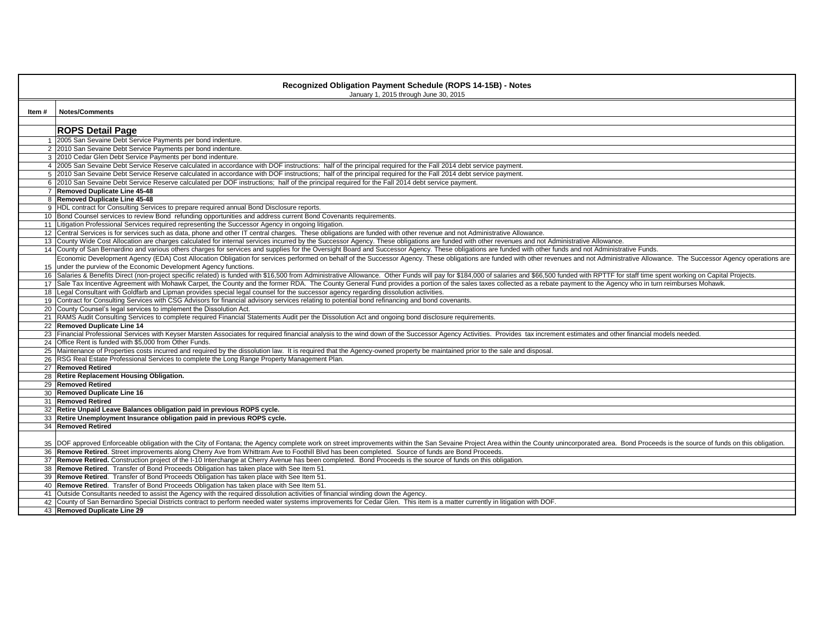|       | Recognized Obligation Payment Schedule (ROPS 14-15B) - Notes<br>January 1, 2015 through June 30, 2015                                                                                                                             |
|-------|-----------------------------------------------------------------------------------------------------------------------------------------------------------------------------------------------------------------------------------|
| Item# | <b>Notes/Comments</b>                                                                                                                                                                                                             |
|       | <b>ROPS Detail Page</b>                                                                                                                                                                                                           |
|       | 1 2005 San Sevaine Debt Service Payments per bond indenture.                                                                                                                                                                      |
|       | 2 2010 San Sevaine Debt Service Payments per bond indenture.                                                                                                                                                                      |
|       | 3 2010 Cedar Glen Debt Service Payments per bond indenture.                                                                                                                                                                       |
|       | 4 2005 San Sevaine Debt Service Reserve calculated in accordance with DOF instructions: half of the principal required for the Fall 2014 debt service payment.                                                                    |
|       | 5 2010 San Sevaine Debt Service Reserve calculated in accordance with DOF instructions; half of the principal required for the Fall 2014 debt service payment.                                                                    |
|       | 6 2010 San Sevaine Debt Service Reserve calculated per DOF instructions; half of the principal required for the Fall 2014 debt service payment.                                                                                   |
|       | 7 Removed Duplicate Line 45-48                                                                                                                                                                                                    |
|       | 8 Removed Duplicate Line 45-48                                                                                                                                                                                                    |
|       | 9 HDL contract for Consulting Services to prepare required annual Bond Disclosure reports.                                                                                                                                        |
|       | 10 Bond Counsel services to review Bond refunding opportunities and address current Bond Covenants requirements.                                                                                                                  |
|       | 11 Litigation Professional Services required representing the Successor Agency in ongoing litigation.                                                                                                                             |
|       | 12 Central Services is for services such as data, phone and other IT central charges. These obligations are funded with other revenue and not Administrative Allowance.                                                           |
|       | 13 County Wide Cost Allocation are charges calculated for internal services incurred by the Successor Agency. These obligations are funded with other revenues and not Administrative Allowance.                                  |
|       | 14 County of San Bernardino and various others charges for services and supplies for the Oversight Board and Successor Agency. These obligations are funded with other funds and not Administrative Funds.                        |
|       | Economic Development Agency (EDA) Cost Allocation Obligation for services performed on behalf of the Successor Agency. These obligations are funded with other revenues and not Administrative Allowance. The Successor Agency    |
|       | 15 under the purview of the Economic Development Agency functions.                                                                                                                                                                |
|       | 16 Salaries & Benefits Direct (non-project specific related) is funded with \$16,500 from Administrative Allowance. Other Funds will pay for \$184,000 of salaries and \$66,500 funded with RPTTF for staff time spent working on |
|       | 17 Sale Tax Incentive Agreement with Mohawk Carpet, the County and the former RDA. The County General Fund provides a portion of the sales taxes collected as a rebate payment to the Agency who in turn reimburses Mohawk.       |
|       | 18 Legal Consultant with Goldfarb and Lipman provides special legal counsel for the successor agency regarding dissolution activities.                                                                                            |
|       | 19 Contract for Consulting Services with CSG Advisors for financial advisory services relating to potential bond refinancing and bond covenants.                                                                                  |
|       | 20 County Counsel's legal services to implement the Dissolution Act.                                                                                                                                                              |
|       | 21 RAMS Audit Consulting Services to complete required Financial Statements Audit per the Dissolution Act and ongoing bond disclosure requirements.                                                                               |
|       | 22 Removed Duplicate Line 14                                                                                                                                                                                                      |
|       | 23 Financial Professional Services with Keyser Marsten Associates for required financial analysis to the wind down of the Successor Agency Activities. Provides tax increment estimates and other financial models needed.        |
|       | 24 Office Rent is funded with \$5,000 from Other Funds.                                                                                                                                                                           |
|       | 25 Maintenance of Properties costs incurred and required by the dissolution law. It is required that the Agency-owned property be maintained prior to the sale and disposal.                                                      |
|       | 26 RSG Real Estate Professional Services to complete the Long Range Property Management Plan.                                                                                                                                     |
|       | 27 Removed Retired                                                                                                                                                                                                                |
|       | 28 Retire Replacement Housing Obligation.<br>29 Removed Retired                                                                                                                                                                   |
|       | 30 Removed Duplicate Line 16                                                                                                                                                                                                      |
|       | 31 Removed Retired                                                                                                                                                                                                                |
|       | 32 Retire Unpaid Leave Balances obligation paid in previous ROPS cycle.                                                                                                                                                           |
|       | 33 Retire Unemployment Insurance obligation paid in previous ROPS cycle.                                                                                                                                                          |
|       | 34 Removed Retired                                                                                                                                                                                                                |
|       |                                                                                                                                                                                                                                   |
|       | 35 DOF approved Enforceable obligation with the City of Fontana; the Agency complete work on street improvements within the San Sevaine Project Area within the County unincorporated area. Bond Proceeds is the source of fun    |
|       | 36 Remove Retired. Street improvements along Cherry Ave from Whittram Ave to Foothill Blvd has been completed. Source of funds are Bond Proceeds.                                                                                 |
|       | 37 Remove Retired. Construction project of the I-10 Interchange at Cherry Avenue has been completed. Bond Proceeds is the source of funds on this obligation.                                                                     |
|       | 38 Remove Retired. Transfer of Bond Proceeds Obligation has taken place with See Item 51.                                                                                                                                         |
|       | 39 Remove Retired. Transfer of Bond Proceeds Obligation has taken place with See Item 51.                                                                                                                                         |
|       | 40 Remove Retired. Transfer of Bond Proceeds Obligation has taken place with See Item 51.                                                                                                                                         |
|       | 41 Outside Consultants needed to assist the Agency with the required dissolution activities of financial winding down the Agency.                                                                                                 |
|       | 42 County of San Bernardino Special Districts contract to perform needed water systems improvements for Cedar Glen. This item is a matter currently in litigation with DOF.                                                       |
|       | 43 Removed Duplicate Line 29                                                                                                                                                                                                      |